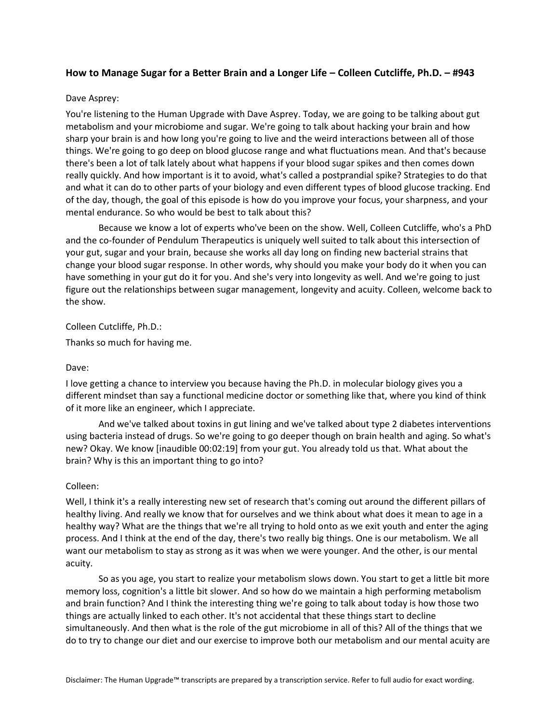# **How to Manage Sugar for a Better Brain and a Longer Life – Colleen Cutcliffe, Ph.D. – #943**

# Dave Asprey:

You're listening to the Human Upgrade with Dave Asprey. Today, we are going to be talking about gut metabolism and your microbiome and sugar. We're going to talk about hacking your brain and how sharp your brain is and how long you're going to live and the weird interactions between all of those things. We're going to go deep on blood glucose range and what fluctuations mean. And that's because there's been a lot of talk lately about what happens if your blood sugar spikes and then comes down really quickly. And how important is it to avoid, what's called a postprandial spike? Strategies to do that and what it can do to other parts of your biology and even different types of blood glucose tracking. End of the day, though, the goal of this episode is how do you improve your focus, your sharpness, and your mental endurance. So who would be best to talk about this?

Because we know a lot of experts who've been on the show. Well, Colleen Cutcliffe, who's a PhD and the co-founder of Pendulum Therapeutics is uniquely well suited to talk about this intersection of your gut, sugar and your brain, because she works all day long on finding new bacterial strains that change your blood sugar response. In other words, why should you make your body do it when you can have something in your gut do it for you. And she's very into longevity as well. And we're going to just figure out the relationships between sugar management, longevity and acuity. Colleen, welcome back to the show.

Colleen Cutcliffe, Ph.D.:

Thanks so much for having me.

## Dave:

I love getting a chance to interview you because having the Ph.D. in molecular biology gives you a different mindset than say a functional medicine doctor or something like that, where you kind of think of it more like an engineer, which I appreciate.

And we've talked about toxins in gut lining and we've talked about type 2 diabetes interventions using bacteria instead of drugs. So we're going to go deeper though on brain health and aging. So what's new? Okay. We know [inaudible 00:02:19] from your gut. You already told us that. What about the brain? Why is this an important thing to go into?

## Colleen:

Well, I think it's a really interesting new set of research that's coming out around the different pillars of healthy living. And really we know that for ourselves and we think about what does it mean to age in a healthy way? What are the things that we're all trying to hold onto as we exit youth and enter the aging process. And I think at the end of the day, there's two really big things. One is our metabolism. We all want our metabolism to stay as strong as it was when we were younger. And the other, is our mental acuity.

So as you age, you start to realize your metabolism slows down. You start to get a little bit more memory loss, cognition's a little bit slower. And so how do we maintain a high performing metabolism and brain function? And I think the interesting thing we're going to talk about today is how those two things are actually linked to each other. It's not accidental that these things start to decline simultaneously. And then what is the role of the gut microbiome in all of this? All of the things that we do to try to change our diet and our exercise to improve both our metabolism and our mental acuity are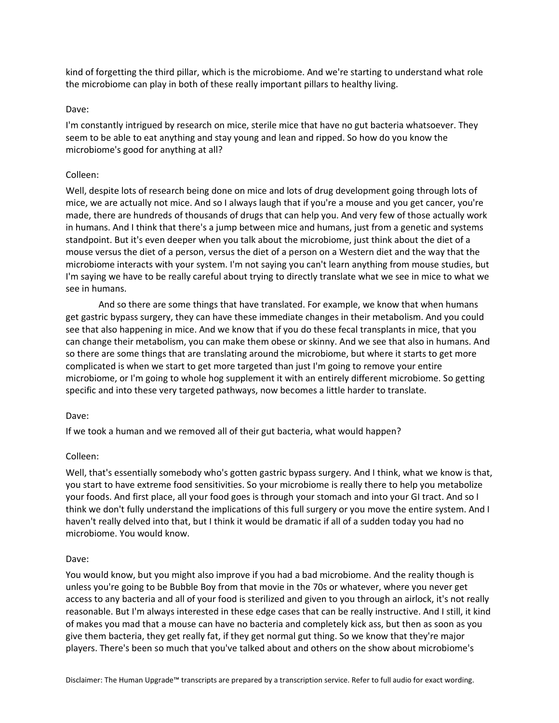kind of forgetting the third pillar, which is the microbiome. And we're starting to understand what role the microbiome can play in both of these really important pillars to healthy living.

# Dave:

I'm constantly intrigued by research on mice, sterile mice that have no gut bacteria whatsoever. They seem to be able to eat anything and stay young and lean and ripped. So how do you know the microbiome's good for anything at all?

## Colleen:

Well, despite lots of research being done on mice and lots of drug development going through lots of mice, we are actually not mice. And so I always laugh that if you're a mouse and you get cancer, you're made, there are hundreds of thousands of drugs that can help you. And very few of those actually work in humans. And I think that there's a jump between mice and humans, just from a genetic and systems standpoint. But it's even deeper when you talk about the microbiome, just think about the diet of a mouse versus the diet of a person, versus the diet of a person on a Western diet and the way that the microbiome interacts with your system. I'm not saying you can't learn anything from mouse studies, but I'm saying we have to be really careful about trying to directly translate what we see in mice to what we see in humans.

And so there are some things that have translated. For example, we know that when humans get gastric bypass surgery, they can have these immediate changes in their metabolism. And you could see that also happening in mice. And we know that if you do these fecal transplants in mice, that you can change their metabolism, you can make them obese or skinny. And we see that also in humans. And so there are some things that are translating around the microbiome, but where it starts to get more complicated is when we start to get more targeted than just I'm going to remove your entire microbiome, or I'm going to whole hog supplement it with an entirely different microbiome. So getting specific and into these very targeted pathways, now becomes a little harder to translate.

## Dave:

If we took a human and we removed all of their gut bacteria, what would happen?

# Colleen:

Well, that's essentially somebody who's gotten gastric bypass surgery. And I think, what we know is that, you start to have extreme food sensitivities. So your microbiome is really there to help you metabolize your foods. And first place, all your food goes is through your stomach and into your GI tract. And so I think we don't fully understand the implications of this full surgery or you move the entire system. And I haven't really delved into that, but I think it would be dramatic if all of a sudden today you had no microbiome. You would know.

## Dave:

You would know, but you might also improve if you had a bad microbiome. And the reality though is unless you're going to be Bubble Boy from that movie in the 70s or whatever, where you never get access to any bacteria and all of your food is sterilized and given to you through an airlock, it's not really reasonable. But I'm always interested in these edge cases that can be really instructive. And I still, it kind of makes you mad that a mouse can have no bacteria and completely kick ass, but then as soon as you give them bacteria, they get really fat, if they get normal gut thing. So we know that they're major players. There's been so much that you've talked about and others on the show about microbiome's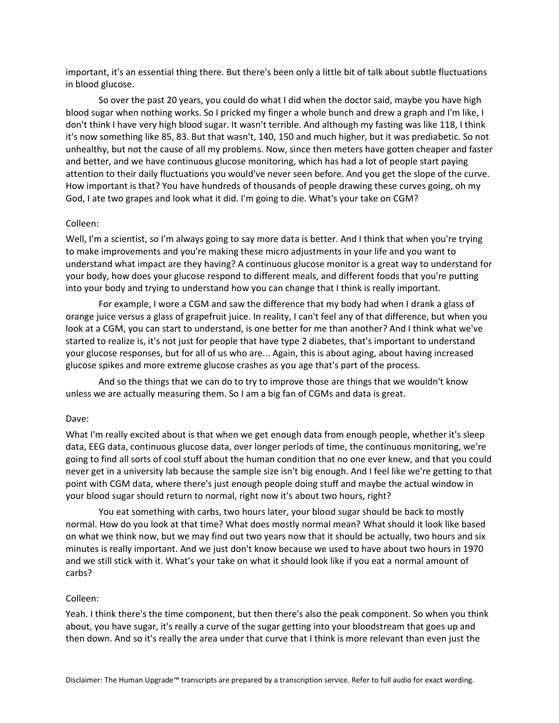important, it's an essential thing there. But there's been only a little bit of talk about subtle fluctuations in blood glucose.

So over the past 20 years, you could do what I did when the doctor said, maybe you have high blood sugar when nothing works. So I pricked my finger a whole bunch and drew a graph and I'm like, I don't think I have very high blood sugar. It wasn't terrible. And although my fasting was like 118, I think it's now something like 85, 83. But that wasn't, 140, 150 and much higher, but it was prediabetic. So not unhealthy, but not the cause of all my problems. Now, since then meters have gotten cheaper and faster and better, and we have continuous glucose monitoring, which has had a lot of people start paying attention to their daily fluctuations you would've never seen before. And you get the slope of the curve. How important is that? You have hundreds of thousands of people drawing these curves going, oh my God, I ate two grapes and look what it did. I'm going to die. What's your take on CGM?

# Colleen:

Well, I'm a scientist, so I'm always going to say more data is better. And I think that when you're trying to make improvements and you're making these micro adjustments in your life and you want to understand what impact are they having? A continuous glucose monitor is a great way to understand for your body, how does your glucose respond to different meals, and different foods that you're putting into your body and trying to understand how you can change that I think is really important.

For example, I wore a CGM and saw the difference that my body had when I drank a glass of orange juice versus a glass of grapefruit juice. In reality, I can't feel any of that difference, but when you look at a CGM, you can start to understand, is one better for me than another? And I think what we've started to realize is, it's not just for people that have type 2 diabetes, that's important to understand your glucose responses, but for all of us who are... Again, this is about aging, about having increased glucose spikes and more extreme glucose crashes as you age that's part of the process.

And so the things that we can do to try to improve those are things that we wouldn't know unless we are actually measuring them. So I am a big fan of CGMs and data is great.

## Dave:

What I'm really excited about is that when we get enough data from enough people, whether it's sleep data, EEG data, continuous glucose data, over longer periods of time, the continuous monitoring, we're going to find all sorts of cool stuff about the human condition that no one ever knew, and that you could never get in a university lab because the sample size isn't big enough. And I feel like we're getting to that point with CGM data, where there's just enough people doing stuff and maybe the actual window in your blood sugar should return to normal, right now it's about two hours, right?

You eat something with carbs, two hours later, your blood sugar should be back to mostly normal. How do you look at that time? What does mostly normal mean? What should it look like based on what we think now, but we may find out two years now that it should be actually, two hours and six minutes is really important. And we just don't know because we used to have about two hours in 1970 and we still stick with it. What's your take on what it should look like if you eat a normal amount of carbs?

## Colleen:

Yeah. I think there's the time component, but then there's also the peak component. So when you think about, you have sugar, it's really a curve of the sugar getting into your bloodstream that goes up and then down. And so it's really the area under that curve that I think is more relevant than even just the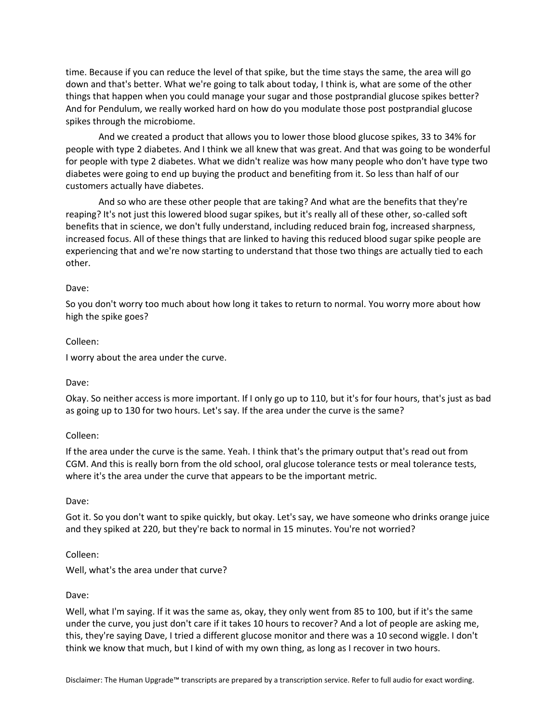time. Because if you can reduce the level of that spike, but the time stays the same, the area will go down and that's better. What we're going to talk about today, I think is, what are some of the other things that happen when you could manage your sugar and those postprandial glucose spikes better? And for Pendulum, we really worked hard on how do you modulate those post postprandial glucose spikes through the microbiome.

And we created a product that allows you to lower those blood glucose spikes, 33 to 34% for people with type 2 diabetes. And I think we all knew that was great. And that was going to be wonderful for people with type 2 diabetes. What we didn't realize was how many people who don't have type two diabetes were going to end up buying the product and benefiting from it. So less than half of our customers actually have diabetes.

And so who are these other people that are taking? And what are the benefits that they're reaping? It's not just this lowered blood sugar spikes, but it's really all of these other, so-called soft benefits that in science, we don't fully understand, including reduced brain fog, increased sharpness, increased focus. All of these things that are linked to having this reduced blood sugar spike people are experiencing that and we're now starting to understand that those two things are actually tied to each other.

# Dave:

So you don't worry too much about how long it takes to return to normal. You worry more about how high the spike goes?

# Colleen:

I worry about the area under the curve.

## Dave:

Okay. So neither access is more important. If I only go up to 110, but it's for four hours, that's just as bad as going up to 130 for two hours. Let's say. If the area under the curve is the same?

# Colleen:

If the area under the curve is the same. Yeah. I think that's the primary output that's read out from CGM. And this is really born from the old school, oral glucose tolerance tests or meal tolerance tests, where it's the area under the curve that appears to be the important metric.

# Dave:

Got it. So you don't want to spike quickly, but okay. Let's say, we have someone who drinks orange juice and they spiked at 220, but they're back to normal in 15 minutes. You're not worried?

# Colleen:

Well, what's the area under that curve?

## Dave:

Well, what I'm saying. If it was the same as, okay, they only went from 85 to 100, but if it's the same under the curve, you just don't care if it takes 10 hours to recover? And a lot of people are asking me, this, they're saying Dave, I tried a different glucose monitor and there was a 10 second wiggle. I don't think we know that much, but I kind of with my own thing, as long as I recover in two hours.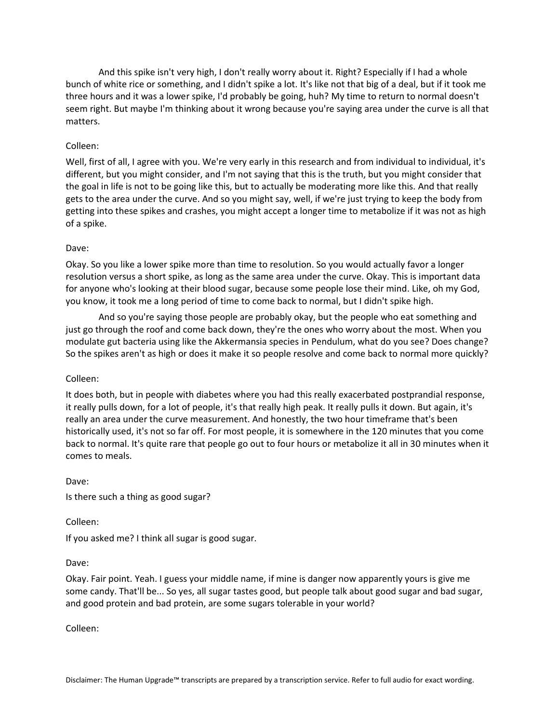And this spike isn't very high, I don't really worry about it. Right? Especially if I had a whole bunch of white rice or something, and I didn't spike a lot. It's like not that big of a deal, but if it took me three hours and it was a lower spike, I'd probably be going, huh? My time to return to normal doesn't seem right. But maybe I'm thinking about it wrong because you're saying area under the curve is all that matters.

# Colleen:

Well, first of all, I agree with you. We're very early in this research and from individual to individual, it's different, but you might consider, and I'm not saying that this is the truth, but you might consider that the goal in life is not to be going like this, but to actually be moderating more like this. And that really gets to the area under the curve. And so you might say, well, if we're just trying to keep the body from getting into these spikes and crashes, you might accept a longer time to metabolize if it was not as high of a spike.

## Dave:

Okay. So you like a lower spike more than time to resolution. So you would actually favor a longer resolution versus a short spike, as long as the same area under the curve. Okay. This is important data for anyone who's looking at their blood sugar, because some people lose their mind. Like, oh my God, you know, it took me a long period of time to come back to normal, but I didn't spike high.

And so you're saying those people are probably okay, but the people who eat something and just go through the roof and come back down, they're the ones who worry about the most. When you modulate gut bacteria using like the Akkermansia species in Pendulum, what do you see? Does change? So the spikes aren't as high or does it make it so people resolve and come back to normal more quickly?

## Colleen:

It does both, but in people with diabetes where you had this really exacerbated postprandial response, it really pulls down, for a lot of people, it's that really high peak. It really pulls it down. But again, it's really an area under the curve measurement. And honestly, the two hour timeframe that's been historically used, it's not so far off. For most people, it is somewhere in the 120 minutes that you come back to normal. It's quite rare that people go out to four hours or metabolize it all in 30 minutes when it comes to meals.

## Dave:

Is there such a thing as good sugar?

## Colleen:

If you asked me? I think all sugar is good sugar.

## Dave:

Okay. Fair point. Yeah. I guess your middle name, if mine is danger now apparently yours is give me some candy. That'll be... So yes, all sugar tastes good, but people talk about good sugar and bad sugar, and good protein and bad protein, are some sugars tolerable in your world?

Colleen: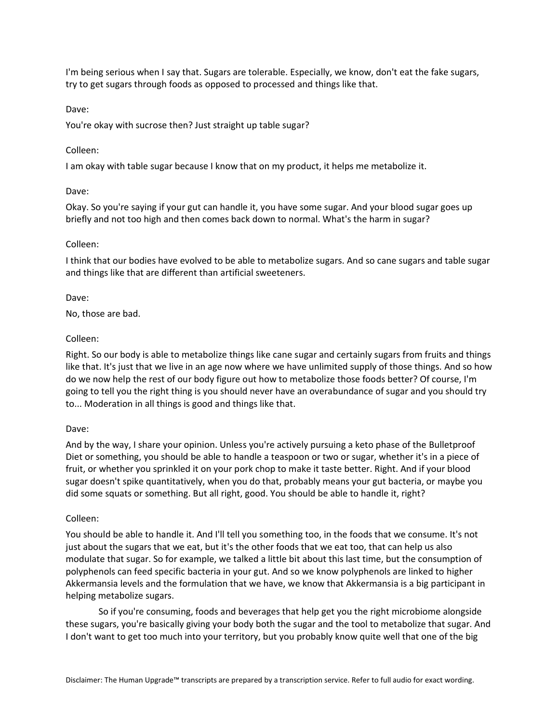I'm being serious when I say that. Sugars are tolerable. Especially, we know, don't eat the fake sugars, try to get sugars through foods as opposed to processed and things like that.

Dave:

You're okay with sucrose then? Just straight up table sugar?

# Colleen:

I am okay with table sugar because I know that on my product, it helps me metabolize it.

# Dave:

Okay. So you're saying if your gut can handle it, you have some sugar. And your blood sugar goes up briefly and not too high and then comes back down to normal. What's the harm in sugar?

# Colleen:

I think that our bodies have evolved to be able to metabolize sugars. And so cane sugars and table sugar and things like that are different than artificial sweeteners.

# Dave:

No, those are bad.

# Colleen:

Right. So our body is able to metabolize things like cane sugar and certainly sugars from fruits and things like that. It's just that we live in an age now where we have unlimited supply of those things. And so how do we now help the rest of our body figure out how to metabolize those foods better? Of course, I'm going to tell you the right thing is you should never have an overabundance of sugar and you should try to... Moderation in all things is good and things like that.

# Dave:

And by the way, I share your opinion. Unless you're actively pursuing a keto phase of the Bulletproof Diet or something, you should be able to handle a teaspoon or two or sugar, whether it's in a piece of fruit, or whether you sprinkled it on your pork chop to make it taste better. Right. And if your blood sugar doesn't spike quantitatively, when you do that, probably means your gut bacteria, or maybe you did some squats or something. But all right, good. You should be able to handle it, right?

# Colleen:

You should be able to handle it. And I'll tell you something too, in the foods that we consume. It's not just about the sugars that we eat, but it's the other foods that we eat too, that can help us also modulate that sugar. So for example, we talked a little bit about this last time, but the consumption of polyphenols can feed specific bacteria in your gut. And so we know polyphenols are linked to higher Akkermansia levels and the formulation that we have, we know that Akkermansia is a big participant in helping metabolize sugars.

So if you're consuming, foods and beverages that help get you the right microbiome alongside these sugars, you're basically giving your body both the sugar and the tool to metabolize that sugar. And I don't want to get too much into your territory, but you probably know quite well that one of the big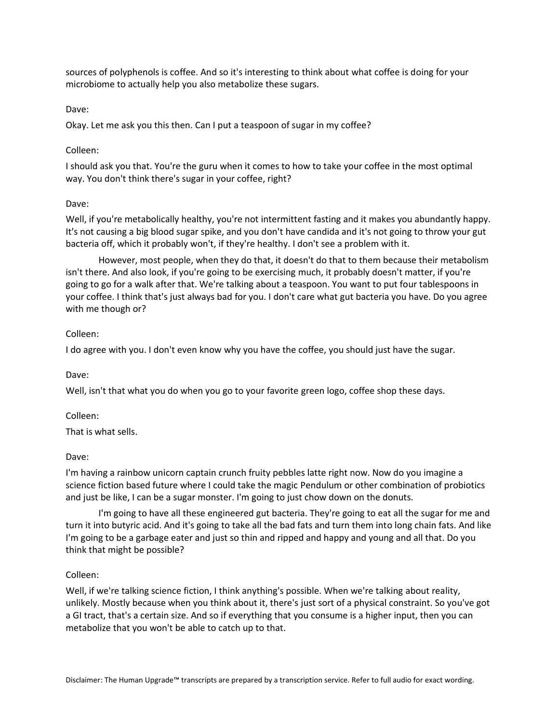sources of polyphenols is coffee. And so it's interesting to think about what coffee is doing for your microbiome to actually help you also metabolize these sugars.

# Dave:

Okay. Let me ask you this then. Can I put a teaspoon of sugar in my coffee?

# Colleen:

I should ask you that. You're the guru when it comes to how to take your coffee in the most optimal way. You don't think there's sugar in your coffee, right?

# Dave:

Well, if you're metabolically healthy, you're not intermittent fasting and it makes you abundantly happy. It's not causing a big blood sugar spike, and you don't have candida and it's not going to throw your gut bacteria off, which it probably won't, if they're healthy. I don't see a problem with it.

However, most people, when they do that, it doesn't do that to them because their metabolism isn't there. And also look, if you're going to be exercising much, it probably doesn't matter, if you're going to go for a walk after that. We're talking about a teaspoon. You want to put four tablespoons in your coffee. I think that's just always bad for you. I don't care what gut bacteria you have. Do you agree with me though or?

# Colleen:

I do agree with you. I don't even know why you have the coffee, you should just have the sugar.

## Dave:

Well, isn't that what you do when you go to your favorite green logo, coffee shop these days.

# Colleen:

That is what sells.

# Dave:

I'm having a rainbow unicorn captain crunch fruity pebbles latte right now. Now do you imagine a science fiction based future where I could take the magic Pendulum or other combination of probiotics and just be like, I can be a sugar monster. I'm going to just chow down on the donuts.

I'm going to have all these engineered gut bacteria. They're going to eat all the sugar for me and turn it into butyric acid. And it's going to take all the bad fats and turn them into long chain fats. And like I'm going to be a garbage eater and just so thin and ripped and happy and young and all that. Do you think that might be possible?

## Colleen:

Well, if we're talking science fiction, I think anything's possible. When we're talking about reality, unlikely. Mostly because when you think about it, there's just sort of a physical constraint. So you've got a GI tract, that's a certain size. And so if everything that you consume is a higher input, then you can metabolize that you won't be able to catch up to that.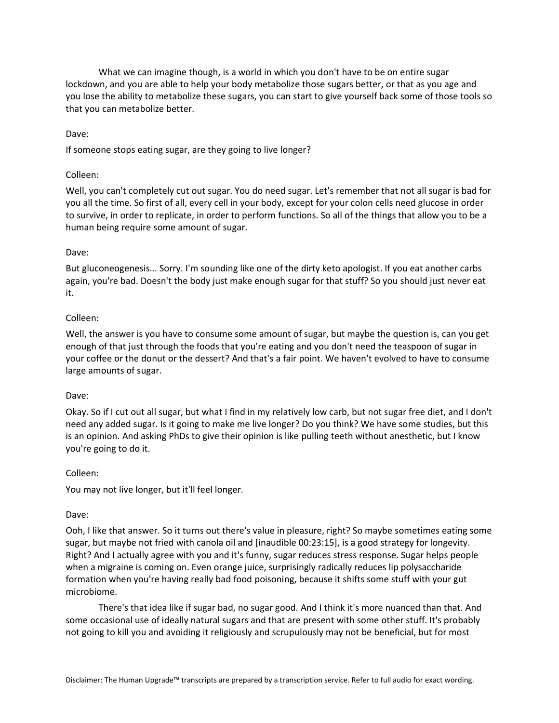What we can imagine though, is a world in which you don't have to be on entire sugar lockdown, and you are able to help your body metabolize those sugars better, or that as you age and you lose the ability to metabolize these sugars, you can start to give yourself back some of those tools so that you can metabolize better.

# Dave:

If someone stops eating sugar, are they going to live longer?

# Colleen:

Well, you can't completely cut out sugar. You do need sugar. Let's remember that not all sugar is bad for you all the time. So first of all, every cell in your body, except for your colon cells need glucose in order to survive, in order to replicate, in order to perform functions. So all of the things that allow you to be a human being require some amount of sugar.

# Dave:

But gluconeogenesis... Sorry. I'm sounding like one of the dirty keto apologist. If you eat another carbs again, you're bad. Doesn't the body just make enough sugar for that stuff? So you should just never eat it.

# Colleen:

Well, the answer is you have to consume some amount of sugar, but maybe the question is, can you get enough of that just through the foods that you're eating and you don't need the teaspoon of sugar in your coffee or the donut or the dessert? And that's a fair point. We haven't evolved to have to consume large amounts of sugar.

## Dave:

Okay. So if I cut out all sugar, but what I find in my relatively low carb, but not sugar free diet, and I don't need any added sugar. Is it going to make me live longer? Do you think? We have some studies, but this is an opinion. And asking PhDs to give their opinion is like pulling teeth without anesthetic, but I know you're going to do it.

## Colleen:

You may not live longer, but it'll feel longer.

## Dave:

Ooh, I like that answer. So it turns out there's value in pleasure, right? So maybe sometimes eating some sugar, but maybe not fried with canola oil and [inaudible 00:23:15], is a good strategy for longevity. Right? And I actually agree with you and it's funny, sugar reduces stress response. Sugar helps people when a migraine is coming on. Even orange juice, surprisingly radically reduces lip polysaccharide formation when you're having really bad food poisoning, because it shifts some stuff with your gut microbiome.

There's that idea like if sugar bad, no sugar good. And I think it's more nuanced than that. And some occasional use of ideally natural sugars and that are present with some other stuff. It's probably not going to kill you and avoiding it religiously and scrupulously may not be beneficial, but for most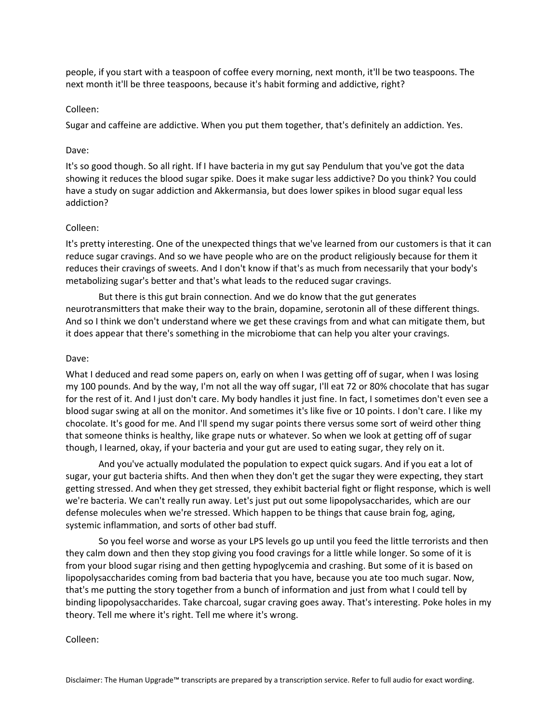people, if you start with a teaspoon of coffee every morning, next month, it'll be two teaspoons. The next month it'll be three teaspoons, because it's habit forming and addictive, right?

## Colleen:

Sugar and caffeine are addictive. When you put them together, that's definitely an addiction. Yes.

# Dave:

It's so good though. So all right. If I have bacteria in my gut say Pendulum that you've got the data showing it reduces the blood sugar spike. Does it make sugar less addictive? Do you think? You could have a study on sugar addiction and Akkermansia, but does lower spikes in blood sugar equal less addiction?

# Colleen:

It's pretty interesting. One of the unexpected things that we've learned from our customers is that it can reduce sugar cravings. And so we have people who are on the product religiously because for them it reduces their cravings of sweets. And I don't know if that's as much from necessarily that your body's metabolizing sugar's better and that's what leads to the reduced sugar cravings.

But there is this gut brain connection. And we do know that the gut generates neurotransmitters that make their way to the brain, dopamine, serotonin all of these different things. And so I think we don't understand where we get these cravings from and what can mitigate them, but it does appear that there's something in the microbiome that can help you alter your cravings.

## Dave:

What I deduced and read some papers on, early on when I was getting off of sugar, when I was losing my 100 pounds. And by the way, I'm not all the way off sugar, I'll eat 72 or 80% chocolate that has sugar for the rest of it. And I just don't care. My body handles it just fine. In fact, I sometimes don't even see a blood sugar swing at all on the monitor. And sometimes it's like five or 10 points. I don't care. I like my chocolate. It's good for me. And I'll spend my sugar points there versus some sort of weird other thing that someone thinks is healthy, like grape nuts or whatever. So when we look at getting off of sugar though, I learned, okay, if your bacteria and your gut are used to eating sugar, they rely on it.

And you've actually modulated the population to expect quick sugars. And if you eat a lot of sugar, your gut bacteria shifts. And then when they don't get the sugar they were expecting, they start getting stressed. And when they get stressed, they exhibit bacterial fight or flight response, which is well we're bacteria. We can't really run away. Let's just put out some lipopolysaccharides, which are our defense molecules when we're stressed. Which happen to be things that cause brain fog, aging, systemic inflammation, and sorts of other bad stuff.

So you feel worse and worse as your LPS levels go up until you feed the little terrorists and then they calm down and then they stop giving you food cravings for a little while longer. So some of it is from your blood sugar rising and then getting hypoglycemia and crashing. But some of it is based on lipopolysaccharides coming from bad bacteria that you have, because you ate too much sugar. Now, that's me putting the story together from a bunch of information and just from what I could tell by binding lipopolysaccharides. Take charcoal, sugar craving goes away. That's interesting. Poke holes in my theory. Tell me where it's right. Tell me where it's wrong.

Colleen: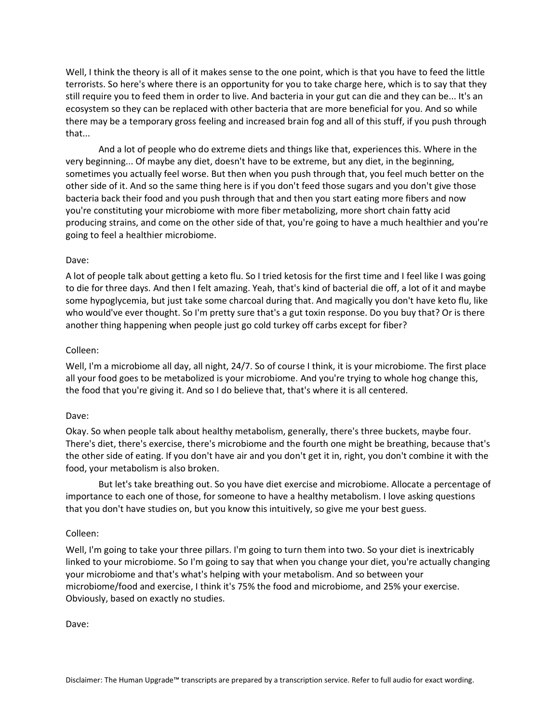Well, I think the theory is all of it makes sense to the one point, which is that you have to feed the little terrorists. So here's where there is an opportunity for you to take charge here, which is to say that they still require you to feed them in order to live. And bacteria in your gut can die and they can be... It's an ecosystem so they can be replaced with other bacteria that are more beneficial for you. And so while there may be a temporary gross feeling and increased brain fog and all of this stuff, if you push through that...

And a lot of people who do extreme diets and things like that, experiences this. Where in the very beginning... Of maybe any diet, doesn't have to be extreme, but any diet, in the beginning, sometimes you actually feel worse. But then when you push through that, you feel much better on the other side of it. And so the same thing here is if you don't feed those sugars and you don't give those bacteria back their food and you push through that and then you start eating more fibers and now you're constituting your microbiome with more fiber metabolizing, more short chain fatty acid producing strains, and come on the other side of that, you're going to have a much healthier and you're going to feel a healthier microbiome.

# Dave:

A lot of people talk about getting a keto flu. So I tried ketosis for the first time and I feel like I was going to die for three days. And then I felt amazing. Yeah, that's kind of bacterial die off, a lot of it and maybe some hypoglycemia, but just take some charcoal during that. And magically you don't have keto flu, like who would've ever thought. So I'm pretty sure that's a gut toxin response. Do you buy that? Or is there another thing happening when people just go cold turkey off carbs except for fiber?

## Colleen:

Well, I'm a microbiome all day, all night, 24/7. So of course I think, it is your microbiome. The first place all your food goes to be metabolized is your microbiome. And you're trying to whole hog change this, the food that you're giving it. And so I do believe that, that's where it is all centered.

## Dave:

Okay. So when people talk about healthy metabolism, generally, there's three buckets, maybe four. There's diet, there's exercise, there's microbiome and the fourth one might be breathing, because that's the other side of eating. If you don't have air and you don't get it in, right, you don't combine it with the food, your metabolism is also broken.

But let's take breathing out. So you have diet exercise and microbiome. Allocate a percentage of importance to each one of those, for someone to have a healthy metabolism. I love asking questions that you don't have studies on, but you know this intuitively, so give me your best guess.

## Colleen:

Well, I'm going to take your three pillars. I'm going to turn them into two. So your diet is inextricably linked to your microbiome. So I'm going to say that when you change your diet, you're actually changing your microbiome and that's what's helping with your metabolism. And so between your microbiome/food and exercise, I think it's 75% the food and microbiome, and 25% your exercise. Obviously, based on exactly no studies.

Dave: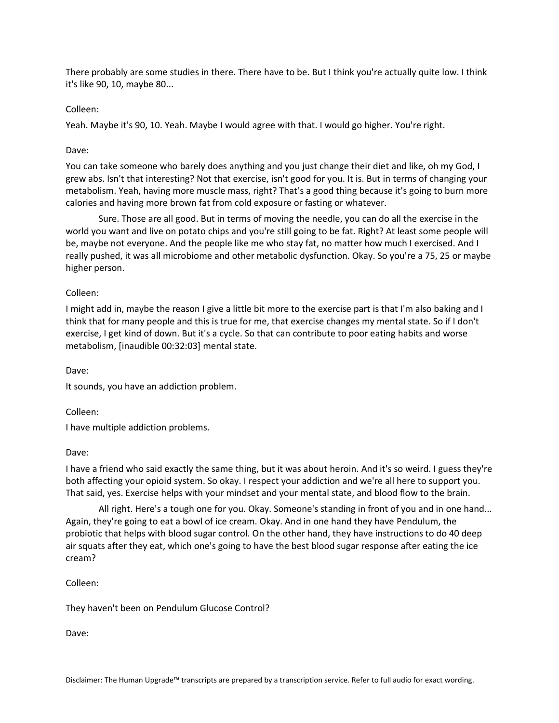There probably are some studies in there. There have to be. But I think you're actually quite low. I think it's like 90, 10, maybe 80...

# Colleen:

Yeah. Maybe it's 90, 10. Yeah. Maybe I would agree with that. I would go higher. You're right.

# Dave:

You can take someone who barely does anything and you just change their diet and like, oh my God, I grew abs. Isn't that interesting? Not that exercise, isn't good for you. It is. But in terms of changing your metabolism. Yeah, having more muscle mass, right? That's a good thing because it's going to burn more calories and having more brown fat from cold exposure or fasting or whatever.

Sure. Those are all good. But in terms of moving the needle, you can do all the exercise in the world you want and live on potato chips and you're still going to be fat. Right? At least some people will be, maybe not everyone. And the people like me who stay fat, no matter how much I exercised. And I really pushed, it was all microbiome and other metabolic dysfunction. Okay. So you're a 75, 25 or maybe higher person.

# Colleen:

I might add in, maybe the reason I give a little bit more to the exercise part is that I'm also baking and I think that for many people and this is true for me, that exercise changes my mental state. So if I don't exercise, I get kind of down. But it's a cycle. So that can contribute to poor eating habits and worse metabolism, [inaudible 00:32:03] mental state.

Dave:

It sounds, you have an addiction problem.

Colleen:

I have multiple addiction problems.

## Dave:

I have a friend who said exactly the same thing, but it was about heroin. And it's so weird. I guess they're both affecting your opioid system. So okay. I respect your addiction and we're all here to support you. That said, yes. Exercise helps with your mindset and your mental state, and blood flow to the brain.

All right. Here's a tough one for you. Okay. Someone's standing in front of you and in one hand... Again, they're going to eat a bowl of ice cream. Okay. And in one hand they have Pendulum, the probiotic that helps with blood sugar control. On the other hand, they have instructions to do 40 deep air squats after they eat, which one's going to have the best blood sugar response after eating the ice cream?

Colleen:

They haven't been on Pendulum Glucose Control?

Dave: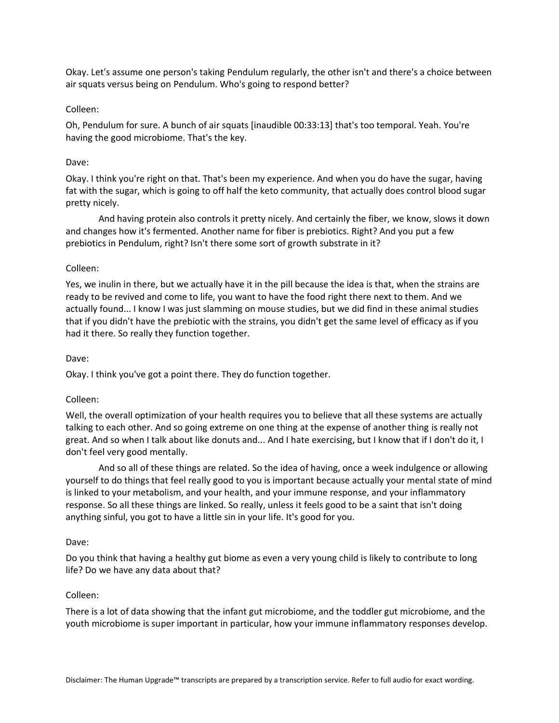Okay. Let's assume one person's taking Pendulum regularly, the other isn't and there's a choice between air squats versus being on Pendulum. Who's going to respond better?

# Colleen:

Oh, Pendulum for sure. A bunch of air squats [inaudible 00:33:13] that's too temporal. Yeah. You're having the good microbiome. That's the key.

# Dave:

Okay. I think you're right on that. That's been my experience. And when you do have the sugar, having fat with the sugar, which is going to off half the keto community, that actually does control blood sugar pretty nicely.

And having protein also controls it pretty nicely. And certainly the fiber, we know, slows it down and changes how it's fermented. Another name for fiber is prebiotics. Right? And you put a few prebiotics in Pendulum, right? Isn't there some sort of growth substrate in it?

# Colleen:

Yes, we inulin in there, but we actually have it in the pill because the idea is that, when the strains are ready to be revived and come to life, you want to have the food right there next to them. And we actually found... I know I was just slamming on mouse studies, but we did find in these animal studies that if you didn't have the prebiotic with the strains, you didn't get the same level of efficacy as if you had it there. So really they function together.

# Dave:

Okay. I think you've got a point there. They do function together.

# Colleen:

Well, the overall optimization of your health requires you to believe that all these systems are actually talking to each other. And so going extreme on one thing at the expense of another thing is really not great. And so when I talk about like donuts and... And I hate exercising, but I know that if I don't do it, I don't feel very good mentally.

And so all of these things are related. So the idea of having, once a week indulgence or allowing yourself to do things that feel really good to you is important because actually your mental state of mind is linked to your metabolism, and your health, and your immune response, and your inflammatory response. So all these things are linked. So really, unless it feels good to be a saint that isn't doing anything sinful, you got to have a little sin in your life. It's good for you.

## Dave:

Do you think that having a healthy gut biome as even a very young child is likely to contribute to long life? Do we have any data about that?

## Colleen:

There is a lot of data showing that the infant gut microbiome, and the toddler gut microbiome, and the youth microbiome is super important in particular, how your immune inflammatory responses develop.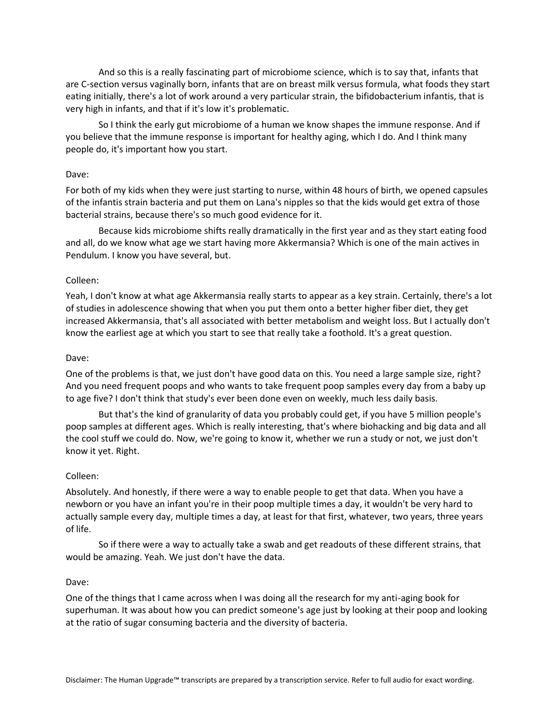And so this is a really fascinating part of microbiome science, which is to say that, infants that are C-section versus vaginally born, infants that are on breast milk versus formula, what foods they start eating initially, there's a lot of work around a very particular strain, the bifidobacterium infantis, that is very high in infants, and that if it's low it's problematic.

So I think the early gut microbiome of a human we know shapes the immune response. And if you believe that the immune response is important for healthy aging, which I do. And I think many people do, it's important how you start.

## Dave:

For both of my kids when they were just starting to nurse, within 48 hours of birth, we opened capsules of the infantis strain bacteria and put them on Lana's nipples so that the kids would get extra of those bacterial strains, because there's so much good evidence for it.

Because kids microbiome shifts really dramatically in the first year and as they start eating food and all, do we know what age we start having more Akkermansia? Which is one of the main actives in Pendulum. I know you have several, but.

# Colleen:

Yeah, I don't know at what age Akkermansia really starts to appear as a key strain. Certainly, there's a lot of studies in adolescence showing that when you put them onto a better higher fiber diet, they get increased Akkermansia, that's all associated with better metabolism and weight loss. But I actually don't know the earliest age at which you start to see that really take a foothold. It's a great question.

# Dave:

One of the problems is that, we just don't have good data on this. You need a large sample size, right? And you need frequent poops and who wants to take frequent poop samples every day from a baby up to age five? I don't think that study's ever been done even on weekly, much less daily basis.

But that's the kind of granularity of data you probably could get, if you have 5 million people's poop samples at different ages. Which is really interesting, that's where biohacking and big data and all the cool stuff we could do. Now, we're going to know it, whether we run a study or not, we just don't know it yet. Right.

## Colleen:

Absolutely. And honestly, if there were a way to enable people to get that data. When you have a newborn or you have an infant you're in their poop multiple times a day, it wouldn't be very hard to actually sample every day, multiple times a day, at least for that first, whatever, two years, three years of life.

So if there were a way to actually take a swab and get readouts of these different strains, that would be amazing. Yeah. We just don't have the data.

## Dave:

One of the things that I came across when I was doing all the research for my anti-aging book for superhuman. It was about how you can predict someone's age just by looking at their poop and looking at the ratio of sugar consuming bacteria and the diversity of bacteria.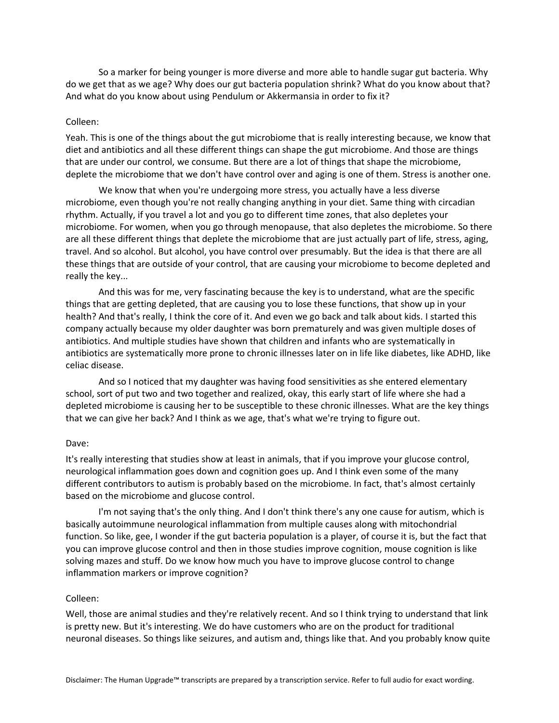So a marker for being younger is more diverse and more able to handle sugar gut bacteria. Why do we get that as we age? Why does our gut bacteria population shrink? What do you know about that? And what do you know about using Pendulum or Akkermansia in order to fix it?

#### Colleen:

Yeah. This is one of the things about the gut microbiome that is really interesting because, we know that diet and antibiotics and all these different things can shape the gut microbiome. And those are things that are under our control, we consume. But there are a lot of things that shape the microbiome, deplete the microbiome that we don't have control over and aging is one of them. Stress is another one.

We know that when you're undergoing more stress, you actually have a less diverse microbiome, even though you're not really changing anything in your diet. Same thing with circadian rhythm. Actually, if you travel a lot and you go to different time zones, that also depletes your microbiome. For women, when you go through menopause, that also depletes the microbiome. So there are all these different things that deplete the microbiome that are just actually part of life, stress, aging, travel. And so alcohol. But alcohol, you have control over presumably. But the idea is that there are all these things that are outside of your control, that are causing your microbiome to become depleted and really the key...

And this was for me, very fascinating because the key is to understand, what are the specific things that are getting depleted, that are causing you to lose these functions, that show up in your health? And that's really, I think the core of it. And even we go back and talk about kids. I started this company actually because my older daughter was born prematurely and was given multiple doses of antibiotics. And multiple studies have shown that children and infants who are systematically in antibiotics are systematically more prone to chronic illnesses later on in life like diabetes, like ADHD, like celiac disease.

And so I noticed that my daughter was having food sensitivities as she entered elementary school, sort of put two and two together and realized, okay, this early start of life where she had a depleted microbiome is causing her to be susceptible to these chronic illnesses. What are the key things that we can give her back? And I think as we age, that's what we're trying to figure out.

#### Dave:

It's really interesting that studies show at least in animals, that if you improve your glucose control, neurological inflammation goes down and cognition goes up. And I think even some of the many different contributors to autism is probably based on the microbiome. In fact, that's almost certainly based on the microbiome and glucose control.

I'm not saying that's the only thing. And I don't think there's any one cause for autism, which is basically autoimmune neurological inflammation from multiple causes along with mitochondrial function. So like, gee, I wonder if the gut bacteria population is a player, of course it is, but the fact that you can improve glucose control and then in those studies improve cognition, mouse cognition is like solving mazes and stuff. Do we know how much you have to improve glucose control to change inflammation markers or improve cognition?

#### Colleen:

Well, those are animal studies and they're relatively recent. And so I think trying to understand that link is pretty new. But it's interesting. We do have customers who are on the product for traditional neuronal diseases. So things like seizures, and autism and, things like that. And you probably know quite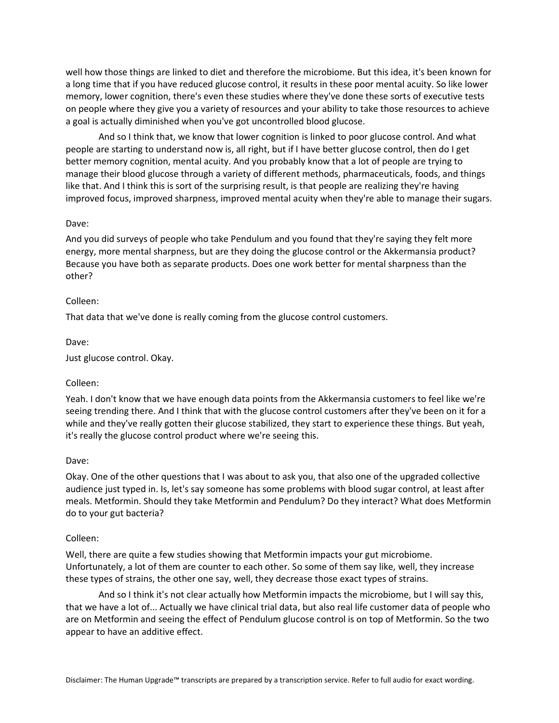well how those things are linked to diet and therefore the microbiome. But this idea, it's been known for a long time that if you have reduced glucose control, it results in these poor mental acuity. So like lower memory, lower cognition, there's even these studies where they've done these sorts of executive tests on people where they give you a variety of resources and your ability to take those resources to achieve a goal is actually diminished when you've got uncontrolled blood glucose.

And so I think that, we know that lower cognition is linked to poor glucose control. And what people are starting to understand now is, all right, but if I have better glucose control, then do I get better memory cognition, mental acuity. And you probably know that a lot of people are trying to manage their blood glucose through a variety of different methods, pharmaceuticals, foods, and things like that. And I think this is sort of the surprising result, is that people are realizing they're having improved focus, improved sharpness, improved mental acuity when they're able to manage their sugars.

## Dave:

And you did surveys of people who take Pendulum and you found that they're saying they felt more energy, more mental sharpness, but are they doing the glucose control or the Akkermansia product? Because you have both as separate products. Does one work better for mental sharpness than the other?

#### Colleen:

That data that we've done is really coming from the glucose control customers.

#### Dave:

Just glucose control. Okay.

## Colleen:

Yeah. I don't know that we have enough data points from the Akkermansia customers to feel like we're seeing trending there. And I think that with the glucose control customers after they've been on it for a while and they've really gotten their glucose stabilized, they start to experience these things. But yeah, it's really the glucose control product where we're seeing this.

#### Dave:

Okay. One of the other questions that I was about to ask you, that also one of the upgraded collective audience just typed in. Is, let's say someone has some problems with blood sugar control, at least after meals. Metformin. Should they take Metformin and Pendulum? Do they interact? What does Metformin do to your gut bacteria?

#### Colleen:

Well, there are quite a few studies showing that Metformin impacts your gut microbiome. Unfortunately, a lot of them are counter to each other. So some of them say like, well, they increase these types of strains, the other one say, well, they decrease those exact types of strains.

And so I think it's not clear actually how Metformin impacts the microbiome, but I will say this, that we have a lot of... Actually we have clinical trial data, but also real life customer data of people who are on Metformin and seeing the effect of Pendulum glucose control is on top of Metformin. So the two appear to have an additive effect.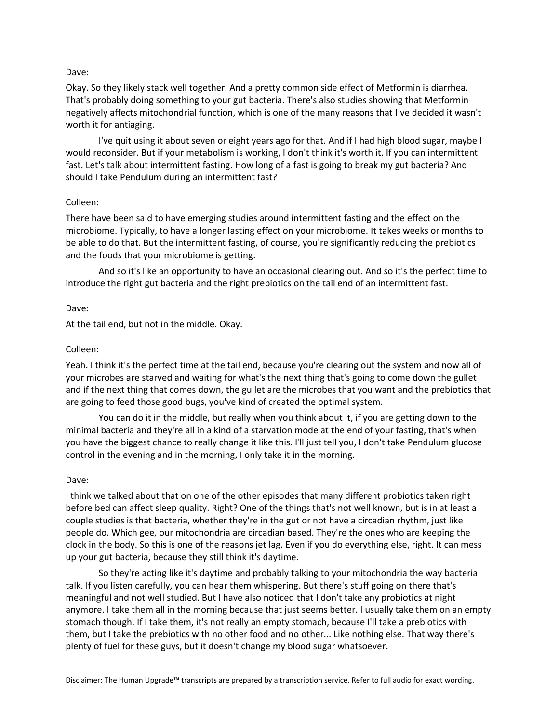## Dave:

Okay. So they likely stack well together. And a pretty common side effect of Metformin is diarrhea. That's probably doing something to your gut bacteria. There's also studies showing that Metformin negatively affects mitochondrial function, which is one of the many reasons that I've decided it wasn't worth it for antiaging.

I've quit using it about seven or eight years ago for that. And if I had high blood sugar, maybe I would reconsider. But if your metabolism is working, I don't think it's worth it. If you can intermittent fast. Let's talk about intermittent fasting. How long of a fast is going to break my gut bacteria? And should I take Pendulum during an intermittent fast?

## Colleen:

There have been said to have emerging studies around intermittent fasting and the effect on the microbiome. Typically, to have a longer lasting effect on your microbiome. It takes weeks or months to be able to do that. But the intermittent fasting, of course, you're significantly reducing the prebiotics and the foods that your microbiome is getting.

And so it's like an opportunity to have an occasional clearing out. And so it's the perfect time to introduce the right gut bacteria and the right prebiotics on the tail end of an intermittent fast.

# Dave:

At the tail end, but not in the middle. Okay.

# Colleen:

Yeah. I think it's the perfect time at the tail end, because you're clearing out the system and now all of your microbes are starved and waiting for what's the next thing that's going to come down the gullet and if the next thing that comes down, the gullet are the microbes that you want and the prebiotics that are going to feed those good bugs, you've kind of created the optimal system.

You can do it in the middle, but really when you think about it, if you are getting down to the minimal bacteria and they're all in a kind of a starvation mode at the end of your fasting, that's when you have the biggest chance to really change it like this. I'll just tell you, I don't take Pendulum glucose control in the evening and in the morning, I only take it in the morning.

## Dave:

I think we talked about that on one of the other episodes that many different probiotics taken right before bed can affect sleep quality. Right? One of the things that's not well known, but is in at least a couple studies is that bacteria, whether they're in the gut or not have a circadian rhythm, just like people do. Which gee, our mitochondria are circadian based. They're the ones who are keeping the clock in the body. So this is one of the reasons jet lag. Even if you do everything else, right. It can mess up your gut bacteria, because they still think it's daytime.

So they're acting like it's daytime and probably talking to your mitochondria the way bacteria talk. If you listen carefully, you can hear them whispering. But there's stuff going on there that's meaningful and not well studied. But I have also noticed that I don't take any probiotics at night anymore. I take them all in the morning because that just seems better. I usually take them on an empty stomach though. If I take them, it's not really an empty stomach, because I'll take a prebiotics with them, but I take the prebiotics with no other food and no other... Like nothing else. That way there's plenty of fuel for these guys, but it doesn't change my blood sugar whatsoever.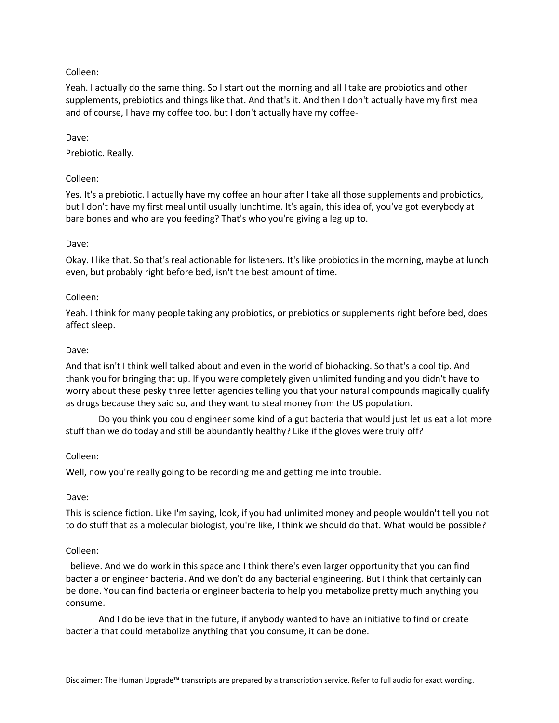# Colleen:

Yeah. I actually do the same thing. So I start out the morning and all I take are probiotics and other supplements, prebiotics and things like that. And that's it. And then I don't actually have my first meal and of course, I have my coffee too. but I don't actually have my coffee-

Dave:

Prebiotic. Really.

# Colleen:

Yes. It's a prebiotic. I actually have my coffee an hour after I take all those supplements and probiotics, but I don't have my first meal until usually lunchtime. It's again, this idea of, you've got everybody at bare bones and who are you feeding? That's who you're giving a leg up to.

# Dave:

Okay. I like that. So that's real actionable for listeners. It's like probiotics in the morning, maybe at lunch even, but probably right before bed, isn't the best amount of time.

# Colleen:

Yeah. I think for many people taking any probiotics, or prebiotics or supplements right before bed, does affect sleep.

# Dave:

And that isn't I think well talked about and even in the world of biohacking. So that's a cool tip. And thank you for bringing that up. If you were completely given unlimited funding and you didn't have to worry about these pesky three letter agencies telling you that your natural compounds magically qualify as drugs because they said so, and they want to steal money from the US population.

Do you think you could engineer some kind of a gut bacteria that would just let us eat a lot more stuff than we do today and still be abundantly healthy? Like if the gloves were truly off?

# Colleen:

Well, now you're really going to be recording me and getting me into trouble.

# Dave:

This is science fiction. Like I'm saying, look, if you had unlimited money and people wouldn't tell you not to do stuff that as a molecular biologist, you're like, I think we should do that. What would be possible?

# Colleen:

I believe. And we do work in this space and I think there's even larger opportunity that you can find bacteria or engineer bacteria. And we don't do any bacterial engineering. But I think that certainly can be done. You can find bacteria or engineer bacteria to help you metabolize pretty much anything you consume.

And I do believe that in the future, if anybody wanted to have an initiative to find or create bacteria that could metabolize anything that you consume, it can be done.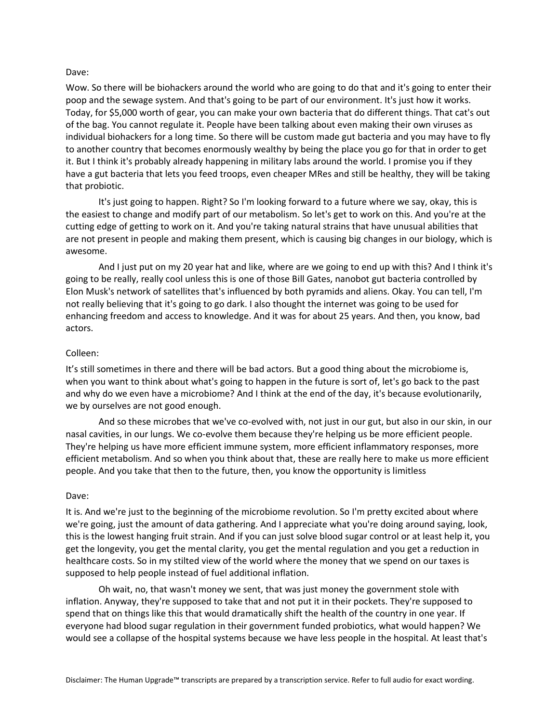## Dave:

Wow. So there will be biohackers around the world who are going to do that and it's going to enter their poop and the sewage system. And that's going to be part of our environment. It's just how it works. Today, for \$5,000 worth of gear, you can make your own bacteria that do different things. That cat's out of the bag. You cannot regulate it. People have been talking about even making their own viruses as individual biohackers for a long time. So there will be custom made gut bacteria and you may have to fly to another country that becomes enormously wealthy by being the place you go for that in order to get it. But I think it's probably already happening in military labs around the world. I promise you if they have a gut bacteria that lets you feed troops, even cheaper MRes and still be healthy, they will be taking that probiotic.

It's just going to happen. Right? So I'm looking forward to a future where we say, okay, this is the easiest to change and modify part of our metabolism. So let's get to work on this. And you're at the cutting edge of getting to work on it. And you're taking natural strains that have unusual abilities that are not present in people and making them present, which is causing big changes in our biology, which is awesome.

And I just put on my 20 year hat and like, where are we going to end up with this? And I think it's going to be really, really cool unless this is one of those Bill Gates, nanobot gut bacteria controlled by Elon Musk's network of satellites that's influenced by both pyramids and aliens. Okay. You can tell, I'm not really believing that it's going to go dark. I also thought the internet was going to be used for enhancing freedom and access to knowledge. And it was for about 25 years. And then, you know, bad actors.

#### Colleen:

It's still sometimes in there and there will be bad actors. But a good thing about the microbiome is, when you want to think about what's going to happen in the future is sort of, let's go back to the past and why do we even have a microbiome? And I think at the end of the day, it's because evolutionarily, we by ourselves are not good enough.

And so these microbes that we've co-evolved with, not just in our gut, but also in our skin, in our nasal cavities, in our lungs. We co-evolve them because they're helping us be more efficient people. They're helping us have more efficient immune system, more efficient inflammatory responses, more efficient metabolism. And so when you think about that, these are really here to make us more efficient people. And you take that then to the future, then, you know the opportunity is limitless

#### Dave:

It is. And we're just to the beginning of the microbiome revolution. So I'm pretty excited about where we're going, just the amount of data gathering. And I appreciate what you're doing around saying, look, this is the lowest hanging fruit strain. And if you can just solve blood sugar control or at least help it, you get the longevity, you get the mental clarity, you get the mental regulation and you get a reduction in healthcare costs. So in my stilted view of the world where the money that we spend on our taxes is supposed to help people instead of fuel additional inflation.

Oh wait, no, that wasn't money we sent, that was just money the government stole with inflation. Anyway, they're supposed to take that and not put it in their pockets. They're supposed to spend that on things like this that would dramatically shift the health of the country in one year. If everyone had blood sugar regulation in their government funded probiotics, what would happen? We would see a collapse of the hospital systems because we have less people in the hospital. At least that's